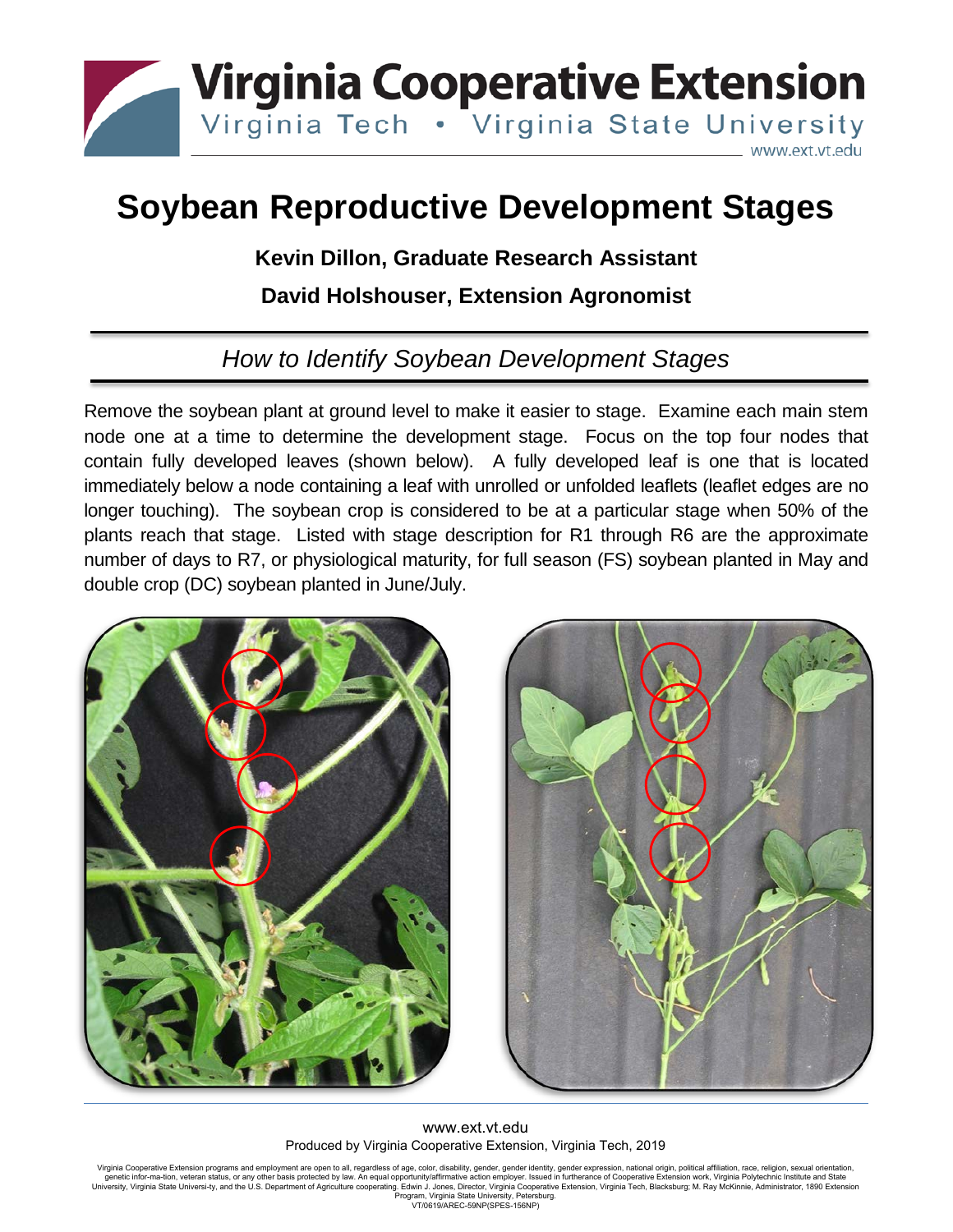

## **Soybean Reproductive Development Stages**

## **Kevin Dillon, Graduate Research Assistant**

## **David Holshouser, Extension Agronomist**

## *How to Identify Soybean Development Stages*

Remove the soybean plant at ground level to make it easier to stage. Examine each main stem node one at a time to determine the development stage. Focus on the top four nodes that contain fully developed leaves (shown below). A fully developed leaf is one that is located immediately below a node containing a leaf with unrolled or unfolded leaflets (leaflet edges are no longer touching). The soybean crop is considered to be at a particular stage when 50% of the plants reach that stage. Listed with stage description for R1 through R6 are the approximate number of days to R7, or physiological maturity, for full season (FS) soybean planted in May and double crop (DC) soybean planted in June/July.





www.ext.vt.edu Produced by Virginia Cooperative Extension, Virginia Tech, 2019

Virginia Cooperative Extension programs and employment are open to all, regardless of age, color, disability, gender, gender identity, gender expression, national origin, political affiliation, race, religion, sexual orien Program, Virginia State University, Petersburg. VT/0619/AREC-59NP(SPES-156NP)